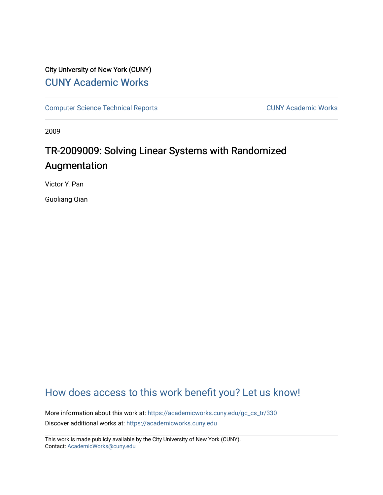## City University of New York (CUNY) [CUNY Academic Works](https://academicworks.cuny.edu/)

[Computer Science Technical Reports](https://academicworks.cuny.edu/gc_cs_tr) **CUNY Academic Works** CUNY Academic Works

2009

# TR-2009009: Solving Linear Systems with Randomized Augmentation

Victor Y. Pan

Guoliang Qian

# [How does access to this work benefit you? Let us know!](http://ols.cuny.edu/academicworks/?ref=https://academicworks.cuny.edu/gc_cs_tr/330)

More information about this work at: https://academicworks.cuny.edu/gc\_cs\_tr/330 Discover additional works at: [https://academicworks.cuny.edu](https://academicworks.cuny.edu/?)

This work is made publicly available by the City University of New York (CUNY). Contact: [AcademicWorks@cuny.edu](mailto:AcademicWorks@cuny.edu)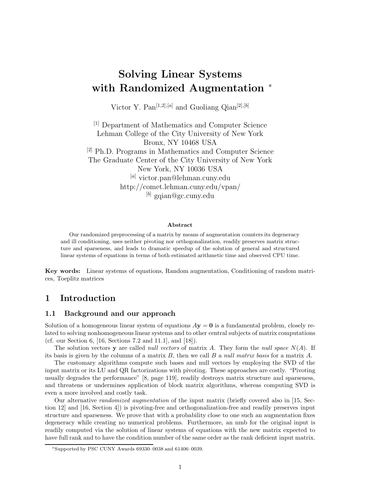# **Solving Linear Systems with Randomized Augmentation** <sup>∗</sup>

Victor Y. Pan<sup>[1,2],[a]</sup> and Guoliang Qian<sup>[2],[b]</sup>

[1] Department of Mathematics and Computer Science Lehman College of the City University of New York Bronx, NY 10468 USA [2] Ph.D. Programs in Mathematics and Computer Science The Graduate Center of the City University of New York New York, NY 10036 USA [*a*] victor.pan@lehman.cuny.edu http://comet.lehman.cuny.edu/vpan/ [*b*] gqian@gc.cuny.edu

#### **Abstract**

Our randomized preprocessing of a matrix by means of augmentation counters its degeneracy and ill conditioning, uses neither pivoting nor orthogonalization, readily preserves matrix structure and sparseness, and leads to dramatic speedup of the solution of general and structured linear systems of equations in terms of both estimated arithmetic time and observed CPU time.

**Key words:** Linear systems of equations, Random augmentation, Conditioning of random matrices, Toeplitz matrices

## **1 Introduction**

#### **1.1 Background and our approach**

Solution of a homogeneous linear system of equations  $A$ **y** = **0** is a fundamental problem, closely related to solving nonhomogeneous linear systems and to other central subjects of matrix computations (cf. our Section 6, [16, Sections 7.2 and 11.1], and [18]).

The solution vectors **y** are called *null vectors* of matrix *A*. They form the *null space N*(*A*). If its basis is given by the columns of a matrix *B*, then we call *B* a *null matrix basis* for a matrix *A*.

The customary algorithms compute such bases and null vectors by employing the SVD of the input matrix or its LU and QR factorizations with pivoting. These approaches are costly. "Pivoting usually degrades the performance" [8, page 119], readily destroys matrix structure and sparseness, and threatens or undermines application of block matrix algorithms, whereas computing SVD is even a more involved and costly task.

Our alternative *randomized augmentation* of the input matrix (briefly covered also in [15, Section 12] and [16, Section 4]) is pivoting-free and orthogonalization-free and readily preserves input structure and sparseness. We prove that with a probability close to one such an augmentation fixes degeneracy while creating no numerical problems. Furthermore, an nmb for the original input is readily computed via the solution of linear systems of equations with the new matrix expected to have full rank and to have the condition number of the same order as the rank deficient input matrix.

<sup>∗</sup>Supported by PSC CUNY Awards 69330–0038 and 61406–0039.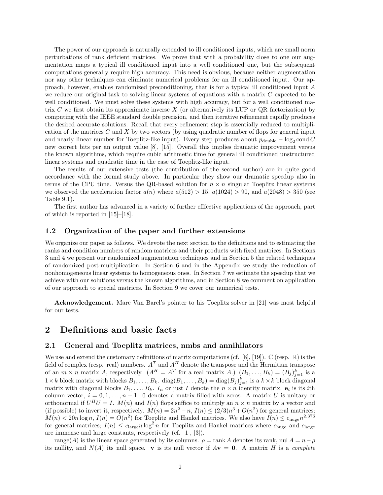The power of our approach is naturally extended to ill conditioned inputs, which are small norm perturbations of rank deficient matrices. We prove that with a probability close to one our augmentation maps a typical ill conditioned input into a well conditioned one, but the subsequent computations generally require high accuracy. This need is obvious, because neither augmentation nor any other techniques can eliminate numerical problems for an ill conditioned input. Our approach, however, enables randomized preconditioning, that is for a typical ill conditioned input *A* we reduce our original task to solving linear systems of equations with a matrix *C* expected to be well conditioned. We must solve these systems with high accuracy, but for a well conditioned matrix *C* we first obtain its approximate inverse *X* (or alternatively its LUP or QR factorization) by computing with the IEEE standard double precision, and then iterative refinement rapidly produces the desired accurate solutions. Recall that every refinement step is essentially reduced to multiplication of the matrices *C* and *X* by two vectors (by using quadratic number of flops for general input and nearly linear number for Toeplitz-like input). Every step produces about  $p_{\text{double}} - \log_2 \text{cond } C$ new correct bits per an output value [8], [15]. Overall this implies dramatic improvement versus the known algorithms, which require cubic arithmetic time for general ill conditioned unstructured linear systems and quadratic time in the case of Toeplitz-like input.

The results of our extensive tests (the contribution of the second author) are in quite good accordance with the formal study above. In particular they show our dramatic speedup also in terms of the CPU time. Versus the QR-based solution for  $n \times n$  singular Toeplitz linear systems we observed the acceleration factor  $a(n)$  where  $a(512) > 15$ ,  $a(1024) > 90$ , and  $a(2048) > 350$  (see Table 9.1).

The first author has advanced in a variety of further efffective applications of the approach, part of which is reported in [15]–[18].

#### **1.2 Organization of the paper and further extensions**

We organize our paper as follows. We devote the next section to the definitions and to estimating the ranks and condition numbers of random matrices and their products with fixed matrices. In Sections 3 and 4 we present our randomized augmentation techniques and in Section 5 the related techniques of randomized post-multiplication. In Section 6 and in the Appendix we study the reduction of nonhomogeneous linear systems to homogeneous ones. In Section 7 we estimate the speedup that we achieve with our solutions versus the known algorithms, and in Section 8 we comment on application of our approach to special matrices. In Section 9 we cover our numerical tests.

**Acknowledgement.** Marc Van Barel's pointer to his Toeplitz solver in [21] was most helpful for our tests.

## **2 Definitions and basic facts**

#### **2.1 General and Toeplitz matrices, nmbs and annihilators**

We use and extend the customary definitions of matrix computations (cf. [8], [19]).  $\mathbb{C}$  (resp.  $\mathbb{R}$ ) is the field of complex (resp. real) numbers.  $A<sup>T</sup>$  and  $A<sup>H</sup>$  denote the transpose and the Hermitian transpose of an  $m \times n$  matrix *A*, respectively.  $(A^H = A^T \text{ for a real matrix } A)$   $(B_1, \ldots, B_k) = (B_j)_{j=1}^k$  is a  $1 \times k$  block matrix with blocks  $B_1, \ldots, B_k$ . diag $(B_1, \ldots, B_k) = \text{diag}(B_j)_{j=1}^k$  is a  $k \times k$  block diagonal matrix with diagonal blocks  $B_1, \ldots, B_k$ .  $I_n$  or just  $I$  denote the  $n \times n$  identity matrix.  $e_i$  is its *i*th column vector,  $i = 0, 1, \ldots, n - 1$ . 0 denotes a matrix filled with zeros. A matrix *U* is unitary or orthonormal if  $U^H U = I$ .  $M(n)$  and  $I(n)$  flops suffice to multiply an  $n \times n$  matrix by a vector and (if possible) to invert it, respectively.  $M(n)=2n^2-n$ ,  $I(n) \leq (2/3)n^3+O(n^2)$  for general matrices;  $M(n) < 20n \log n$ ,  $I(n) = O(n^2)$  for Toeplitz and Hankel matrices. We also have  $I(n) \leq c_{\text{huge}} n^{2.376}$ for general matrices;  $I(n) \leq c_{\text{large}} n \log^2 n$  for Toeplitz and Hankel matrices where  $c_{\text{huge}}$  and  $c_{\text{large}}$ are immense and large constants, respectively (cf. [1], [3]).

range(*A*) is the linear space generated by its columns.  $\rho = \text{rank } A$  denotes its rank, nul  $A = n - \rho$ its nullity, and  $N(A)$  its null space. **v** is its null vector if  $A$ **v** = 0. A matrix *H* is a *complete*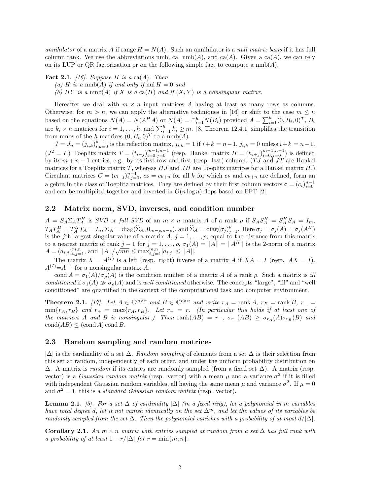*annihilator* of a matrix *A* if range  $H = N(A)$ . Such an annihilator is a *null matrix basis* if it has full column rank. We use the abbreviations nmb, ca,  $\text{nmb}(A)$ , and ca(A). Given a ca(A), we can rely on its LUP or QR factorization or on the following simple fact to compute a  $\text{nmb}(A)$ .

**Fact 2.1.** [16]. Suppose *H* is a ca(*A*). Then

- (a) *H* is a nmb(*A*) *if and only if* nul  $H = 0$  *and*
- (b)  $HY$  *is a* nmb(A) *if*  $X$  *is a* ca( $H$ ) *and if*  $(X, Y)$  *is a nonsingular matrix.*

Hereafter we deal with  $m \times n$  input matrices A having at least as many rows as columns. Otherwise, for  $m > n$ , we can apply the alternative techniques in [16] or shift to the case  $m \leq n$ based on the equations  $N(A) = N(A^H A)$  or  $N(A) = \bigcap_{i=1}^h N(B_i)$  provided  $A = \sum_{i=1}^h (0, B_i, 0)^T$ ,  $B_i$ are  $k_i \times n$  matrices for  $i = 1, \ldots, h$ , and  $\sum_{i=1}^h k_i \geq m$ . [8, Theorem 12.4.1] simplifies the transition from nmbs of the *h* matrices  $(0, B_i, 0)^T$  to a nmb(*A*).

 $J = J_n = (j_{i,k})_{i,k=0}^{n-1}$  is the reflection matrix,  $j_{i,k} = 1$  if  $i+k = n-1$ ,  $j_{i,k} = 0$  unless  $i+k = n-1$ .  $(J^2 = I)$  Toeplitz matrix  $T = (t_{i-j})_{i=0,j=0}^{m-1,n-1}$  (resp. Hankel matrix  $H = (h_{i+j})_{i=0,j=0}^{m-1,n-1}$ ) is defined by its  $m + n - 1$  entries, e.g., by its first row and first (resp. last) column. (*TJ* and  $\overline{JT}$  are Hankel matrices for a Toeplitz matrix *T*, whereas *HJ* and *JH* are Toeplitz matrices for a Hankel matrix *H*.) Circulant matrices  $C = (c_{i-j})_{i,j=0}^{n-1}$ ,  $c_k = c_{k+n}$  for all *k* for which  $c_k$  and  $c_{k+n}$  are defined, form an algebra in the class of Toeplitz matrices. They are defined by their first column vectors  $\mathbf{c} = (c_i)_{i=0}^{n-1}$ and can be multiplied together and inverted in  $O(n \log n)$  flops based on FFT [2].

#### **2.2 Matrix norm, SVD, inverses, and condition number**

 $A = S_A \Sigma_A T_A^H$  is *SVD* or *full SVD* of an  $m \times n$  matrix *A* of a rank  $\rho$  if  $S_A S_A^H = S_A^H S_A = I_m$ ,  $T_A T_A^H = T_A^H T_A = I_n$ ,  $\Sigma_A = \text{diag}(\widehat{\Sigma}_A, 0_{m-\rho,n-\rho}),$  and  $\widehat{\Sigma}_A = \text{diag}(\sigma_j)_{j=1}^{\rho}$ . Here  $\sigma_j = \sigma_j(A) = \sigma_j(A^H)$ is the *j*th largest singular value of a matrix  $\vec{A}$ ,  $j = 1, \ldots, \rho$ , equal to the distance from this matrix to a nearest matrix of rank  $j-1$  for  $j=1,\ldots,\rho$ ,  $\sigma_1(A) = ||A|| = ||A^H||$  is the 2-norm of a matrix  $A = (a_{i,j})_{i,j=1}^{m,n}$ , and  $||A||/\sqrt{mn} \leq \max_{i,j=1}^{m,n} |a_{i,j}| \leq ||A||$ .

The matrix  $X = A^{(I)}$  is a left (resp. right) inverse of a matrix *A* if  $XA = I$  (resp.  $AX = I$ ).  $A^{(I)} = A^{-1}$  for a nonsingular matrix *A*.

cond  $A = \sigma_1(A)/\sigma_\rho(A)$  is the condition number of a matrix *A* of a rank  $\rho$ . Such a matrix is *ill conditioned* if  $\sigma_1(A) \gg \sigma_\rho(A)$  and is *well conditioned* otherwise. The concepts "large", "ill" and "well conditioned" are quantified in the context of the computational task and computer environment.

**Theorem 2.1.** [17]. Let  $A \in \mathbb{C}^{m \times r}$  and  $B \in \mathbb{C}^{r \times n}$  and write  $r_A = \text{rank } A$ ,  $r_B = \text{rank } B$ ,  $r_- =$  $\min\{r_A, r_B\}$  and  $r_+ = \max\{r_A, r_B\}$ . Let  $r_+ = r$ . (In particular this holds if at least one of *the matrices A and B is nonsingular.)* Then  $\text{rank}(AB) = r_{-}$ ,  $\sigma_{r_{-}}(AB) \geq \sigma_{r_A}(A)\sigma_{r_B}(B)$  *and*  $\operatorname{cond}(AB) \leq (\operatorname{cond} A) \operatorname{cond} B$ .

#### **2.3 Random sampling and random matrices**

|∆| is the cardinality of a set ∆. *Random sampling* of elements from a set ∆ is their selection from this set at random, independently of each other, and under the uniform probability distribution on ∆. A matrix is *random* if its entries are randomly sampled (from a fixed set ∆). A matrix (resp. vector) is a *Gaussian random matrix* (resp. vector) with a mean  $\mu$  and a variance  $\sigma^2$  if it is filled with independent Gaussian random variables, all having the same mean  $\mu$  and variance  $\sigma^2$ . If  $\mu = 0$ and  $\sigma^2 = 1$ , this is a *standard Gaussian random matrix* (resp. vector).

**Lemma 2.1.** *[5]. For a set*  $\Delta$  *of cardinality*  $|\Delta|$  *(in a fixed ring), let a polynomial in m variables have total degree d, let it not vanish identically on the set*  $\Delta^m$ *, and let the values of its variables be randomly sampled from the set*  $\Delta$ *. Then the polynomial vanishes with a probability of at most*  $d/|\Delta|$ *.* 

**Corollary 2.1.** *An*  $m \times n$  *matrix with entries sampled at random from a set*  $\Delta$  *has full rank with a probability of at least*  $1 - r/|\Delta|$  *for*  $r = \min\{m, n\}$ *.*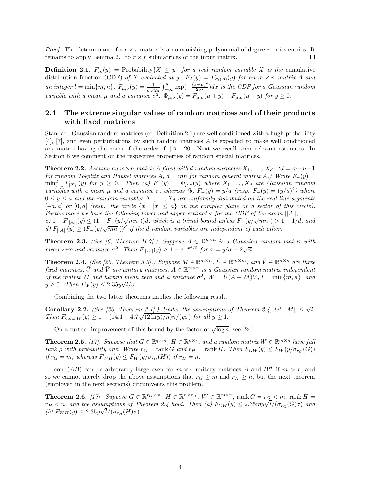*Proof.* The determinant of a  $r \times r$  matrix is a nonvanishing polynomial of degree r in its entries. It remains to apply Lemma 2.1 to  $r \times r$  submatrices of the input matrix. ◻

**Definition 2.1.**  $F_X(y) = \text{Probability}\{X \leq y\}$  *for a real random variable X is the* cumulative distribution function (CDF) of X evaluated at y.  $F_A(y) = F_{\sigma_l(A)}(y)$  for an  $m \times n$  matrix A and *an integer*  $l = \min\{m, n\}$ .  $F_{\mu,\sigma}(y) = \frac{1}{\sigma\sqrt{2\pi}} \int_{-\infty}^{y} \exp\left(-\frac{(x-\mu)^2}{2\sigma^2}\right) dx$  *is the CDF for a Gaussian random variable with a mean*  $\mu$  *and a variance*  $\sigma^2$ .  $\Phi_{\mu,\sigma}(y) = F_{\mu,\sigma}(\mu + y) - F_{\mu,\sigma}(\mu - y)$  *for*  $y \ge 0$ *.* 

## **2.4 The extreme singular values of random matrices and of their products with fixed matrices**

Standard Gaussian random matrices (cf. Definition 2.1) are well conditioned with a hugh probability [4], [7], and even perturbations by such random matrices *A* is expected to make well conditioned any matrix having the norm of the order of ||*A*|| [20]. Next we recall some relevant estimates. In Section 8 we comment on the respective properties of random special matrices.

**Theorem 2.2.** *Assume an*  $m \times n$  *matrix A filled with d random variables*  $X_1, \ldots, X_d$ . ( $d = m+n-1$ *for random Toeplitz and Hankel matrices*  $A, d = mn$  *for random general matrix*  $A$ *.) Write*  $F_-(y) =$  $\min_{i=1}^d F_{|X_i|}(y)$  *for*  $y \ge 0$ *. Then (a)*  $F_-(y) = \Phi_{\mu,\sigma}(y)$  where  $X_1,\ldots,X_d$  are Gaussian random *variables with a mean*  $\mu$  *and a variance*  $\sigma$ *, whereas (b)*  $F_-(y) = y/a$  *(resp.*  $F_-(y) = (y/a)^2$ *) where*  $0 \leq y \leq a$  and the random variables  $X_1, \ldots, X_d$  are uniformly distributed on the real line segments  $[-a, a]$  *or*  $[0, a]$  *(resp. the circle*  $\{x : |x| \le a\}$  *on the complex plane or a sector of this circle). Furthermore we have the following lower and upper estimates for the CDF of the norm* ||*A*||*,*

*c)*  $1 - F_{\vert A \vert \vert}(y) \leq (1 - F_{-}(y/\sqrt{mn})))d$ , which is a trivial bound unless  $F_{-}(y/\sqrt{mn}) > 1 - 1/d$ , and *d)*  $F_{\vert A \vert} (y) \geq (F_{-}(y/\sqrt{mn}))^d$  *if the d random variables are independent of each other.* 

**Theorem 2.3.** *(See [6, Theorem II.7].) Suppose*  $A \in \mathbb{R}^{n \times n}$  *is a Gaussian random matrix with mean zero and variance*  $\sigma^2$ *. Then*  $F_{||A||}(y) \ge 1 - e^{-x^2/2}$  for  $x = y/\sigma - 2\sqrt{n}$ .

**Theorem 2.4.** *(See [20, Theorem 3.3].) Suppose*  $M \in \mathbb{R}^{m \times n}$ ,  $\overline{U} \in \mathbb{R}^{m \times m}$ , and  $\overline{V} \in \mathbb{R}^{n \times n}$  are three *fixed matrices,*  $\overline{U}$  *and*  $\overline{V}$  *are unitary matrices,*  $A \in \mathbb{R}^{m \times n}$  *is a Gaussian random matrix independent of the matrix M* and having mean zero and a variance  $\sigma^2$ ,  $W = \bar{U}(A + M)\bar{V}$ ,  $l = \min\{m, n\}$ , and  $y \geq 0$ *. Then*  $F_W(y) \leq 2.35y\sqrt{l}/\sigma$ *.* 

Combining the two latter theorems implies the following result.

**Corollary 2.2.** *(See [20, Theorem 3.1].) Under the assumptions of Theorem 2.4, let*  $||M|| \leq \sqrt{l}$ *. Then*  $F_{\text{cond }W}(y) \geq 1 - (14.1 + 4.7\sqrt{(2 \ln y)/n})n/(y\sigma)$  for all  $y \geq 1$ .

On a further improvement of this bound by the factor of  $\sqrt{\log n}$ , see [24].

**Theorem 2.5.** [17]. Suppose that  $G \in \mathbb{R}^{q \times m}$ ,  $H \in \mathbb{R}^{n \times r}$ , and a random matrix  $W \in \mathbb{R}^{m \times n}$  have full *rank*  $\rho$  *with probability one. Write*  $r_G = \text{rank } G$  *and*  $r_H = \text{rank } H$ *. Then*  $F_{GW}(y) \leq F_W(y/\sigma_{r_G}(G))$  $if$   $r_G = m$ , whereas  $F_{WH}(y) \leq F_W(y/\sigma_{r_G}(H))$  *if*  $r_H = n$ .

cond(*AB*) can be arbitrarily large even for  $m \times r$  unitary matrices *A* and  $B<sup>H</sup>$  if  $m > r$ , and so we cannot merely drop the above assumptions that  $r_G \geq m$  and  $r_H \geq n$ , but the next theorem (employed in the next sections) circumvents this problem.

**Theorem 2.6.** *[17]. Suppose*  $G \in \mathbb{R}^{r_G \times m}$ ,  $H \in \mathbb{R}^{n \times r_H}$ ,  $W \in \mathbb{R}^{m \times n}$ , rank  $G = r_G < m$ , rank  $H =$ *r***<sub>H</sub>**  $\lt$  *n*, and the assumptions of Theorem 2.4 hold. Then (a)  $F_{GW}(y) \leq 2.35$ *my* $\sqrt{l}/(\sigma_{r_G}(G)\sigma)$  and  $F_{GW}(y) \leq 2.35$  $(b)$   $F_{WH}(y) \leq 2.35y\sqrt{l}/(\sigma_{r_H}(H)\sigma).$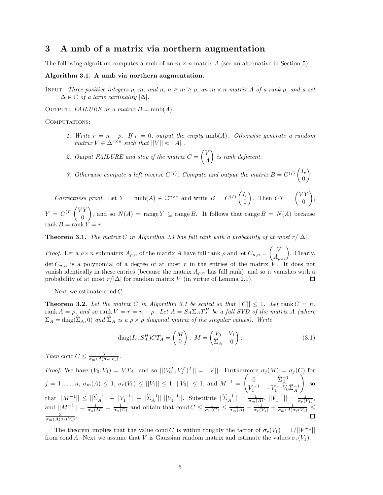## **3 A nmb of a matrix via northern augmentation**

The following algorithm computes a nmb of an  $m \times n$  matrix  $A$  (see an alternative in Section 5).

#### **Algorithm 3.1. A nmb via northern augmentation.**

Input: *Three positive integers ρ, m, and n, n* ≥ *m* ≥ *ρ, an m* × *n matrix A of a rank ρ, and a set*  $\Delta \in \mathbb{C}$  *of a large cardinality*  $|\Delta|$ *.* 

OUTPUT: *FAILURE* or a matrix  $B = \text{nmb}(A)$ .

COMPUTATIONS:

- *1. Write*  $r = n \rho$ *. If*  $r = 0$ *, output the empty* nmb(*A*)*. Otherwise generate a random matrix*  $V \in \Delta^{r \times n}$  *such that*  $||V|| \approx ||A||$ *.*
- 2. Output FAILURE and stop if the matrix  $C = \begin{pmatrix} V & V \\ V & V \end{pmatrix}$ *A is rank deficient.*
- 3. Otherwise compute a left inverse  $C^{(I)}$ . Compute and output the matrix  $B = C^{(I)} \begin{pmatrix} I_r \\ O \end{pmatrix}$ 0 *.*

*Correctness proof.* Let  $Y = \text{nmb}(A) \in \mathbb{C}^{n \times r}$  and write  $B = C^{(I)} \begin{pmatrix} I_r \\ O \end{pmatrix}$ 0 ). Then  $CY = \begin{pmatrix} VY \\ 0 \end{pmatrix}$ 0  $\bigg),$  $Y = C^{(I)} \begin{pmatrix} VY \\ 0 \end{pmatrix}$ 0 ), and so  $N(A)$  = range  $Y \subseteq \text{range } B$ . It follows that range  $B = N(A)$  because  $\text{rank } B = \text{rank } Y = r.$ 

**Theorem 3.1.** *The matrix*  $C$  *in Algorithm 3.1 has full rank with a probability of at most*  $r/|\Delta|$ *.* 

*Proof.* Let a  $\rho \times n$  submatrix  $A_{\rho,n}$  of the matrix *A* have full rank  $\rho$  and let  $C_{n,n} = \begin{pmatrix} V \\ A_{\rho,n} \end{pmatrix}$ . Clearly, det  $C_{n,n}$  is a polynomial of a degree of at most r in the entries of the matrix  $\dot{V}$ . It does not vanish identically in these entries (because the matrix  $A_{\rho,n}$  has full rank), and so it vanishes with a probability of at most  $r/|\Delta|$  for random matrix *V* (in virtue of Lemma 2.1). □

Next we estimate cond *C*.

**Theorem 3.2.** Let the matrix C in Algorithm 3.1 be scaled so that  $||C|| \leq 1$ . Let  $\text{rank } C = n$ ,  $rank A = \rho$ , and so rank  $V = r = n - \rho$ . Let  $A = S_A \Sigma_A T_A^H$  be a full  $SVD$  of the matrix A (where  $\Sigma_A = \text{diag}(\widehat{\Sigma}_A, 0)$  and  $\widehat{\Sigma}_A$  is a  $\rho \times \rho$  diagonal matrix of the singular values). Write

$$
diag(I_r, S_A^H)CT_A = \begin{pmatrix} M \\ 0 \end{pmatrix}, \ M = \begin{pmatrix} V_0 & V_1 \\ \hat{\Sigma}_A & 0 \end{pmatrix}.
$$
 (3.1)

*Then* cond  $C \leq \frac{3}{\sigma_m(A)\sigma_r(V_1)}$ .

*Proof.* We have  $(V_0, V_1) = VT_A$ , and so  $||(V_0^T, V_1^T)^T|| = ||V||$ . Furthermore  $\sigma_j(M) = \sigma_j(C)$  for  $j = 1, ..., n, \sigma_m(A) \leq 1, \sigma_r(V_1) \leq ||V_1|| \leq 1, ||V_0|| \leq 1, \text{ and } M^{-1} = \begin{pmatrix} 0 & \widehat{\Sigma}_A^{-1} \\ V_1^{-1} & -V_1^{-1}V_0\widehat{\Sigma}_A^{-1} \end{pmatrix}$  $\setminus$ , so  $\text{that } ||M^{-1}|| \leq ||\hat{\Sigma}_A^{-1}|| + ||V_1^{-1}|| + ||\hat{\Sigma}_A^{-1}|| \, ||V_1^{-1}||. \text{ Substitute } ||\hat{\Sigma}_A^{-1}|| = \frac{1}{\sigma_m(A)}, \, ||V_1^{-1}|| = \frac{1}{\sigma_r(V_1)},$ and  $||M^{-1}|| = \frac{1}{\sigma_n(M)} = \frac{1}{\sigma_n(C)}$  and obtain that cond  $C \leq \frac{1}{\sigma_n(C)} \leq \frac{1}{\sigma_m(A)} + \frac{1}{\sigma_n(V_1)} + \frac{1}{\sigma_m(A)\sigma_r(V_1)} \leq \frac{3}{\sigma_m(A)}$  $\frac{3}{\sigma_m(A)\sigma_r(V_1)}$ .

The theorem implies that the value cond *C* is within roughly the factor of  $\sigma_r(V_1) = 1/||V^{-1}||$ from cond *A*. Next we assume that *V* is Gaussian random matrix and estimate the values  $\sigma_r(V_1)$ .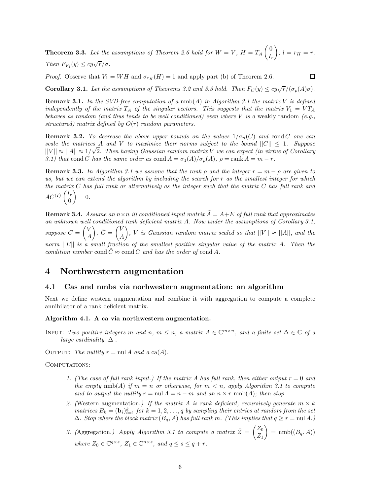**Theorem 3.3.** Let the assumptions of Theorem 2.6 hold for  $W = V$ ,  $H = T_A \begin{pmatrix} 0 & 0 \\ 0 & 0 \end{pmatrix}$ *I*r  $\bigg), l = r_H = r.$ *Then*  $F_{V_1}(y) \leq cy\sqrt{r}/\sigma$ *.* 

*Proof.* Observe that  $V_1 = WH$  and  $\sigma_{r_H}(H) = 1$  and apply part (b) of Theorem 2.6.

◻

**Corollary 3.1.** *Let the assumptions of Theorems 3.2 and 3.3 hold. Then*  $F_C(y) \leq cy\sqrt{r}/(\sigma_p(A)\sigma)$ *.* 

**Remark 3.1.** In the SVD-free computation of a  $\text{nmb}(A)$  in Algorithm 3.1 the matrix V is defined *independently of the matrix*  $T_A$  *of the singular vectors. This suggests that the matrix*  $V_1 = VT_A$ *behaves as random (and thus tends to be well conditioned) even where V is a* weakly random *(e.g., structured) matrix defined by O*(*r*) *random parameters.*

**Remark 3.2.** *To decrease the above upper bounds on the values*  $1/\sigma_n(C)$  *and* cond *C one* can *scale the matrices A and V to maximize their norms subject to the bound*  $||C|| \le 1$ . Suppose  $||V|| \approx ||A|| \approx 1/\sqrt{2}$ . Then having Gaussian random matrix V we can expect (in virtue of Corollary *3.1)* that cond *C* has the same order as cond  $A = \sigma_1(A)/\sigma_o(A)$ ,  $\rho = \text{rank } A = m - r$ .

**Remark 3.3.** In Algorithm 3.1 we assume that the rank  $\rho$  and the integer  $r = m - \rho$  are given to *us, but we can extend the algorithm by including the search for r as the smallest integer for which the matrix C has full rank or alternatively as the integer such that the matrix C has full rank and*  $AC^{(I)}$ <sup> $\Big(\frac{I_r}{I_r}\Big)$ </sup> 0  $= 0.$ 

**Remark 3.4.** *Assume an*  $n \times n$  *ill conditioned input matrix*  $\tilde{A} = A + E$  *of full rank that approximates an unknown well conditioned rank deficient matrix A. Now under the assumptions of Corollary 3.1, suppose*  $C = \begin{pmatrix} V & V \\ V & V \end{pmatrix}$ *A*  $\sum_i \tilde{C} = \begin{pmatrix} V_i \\ i \end{pmatrix}$ *A*˜  $\hat{V}$ , *V is Gaussian random matrix scaled so that*  $||V|| \approx ||A||$ *, and the norm* ||*E*|| *is a small fraction of the smallest positive singular value of the matrix A. Then the condition number* cond  $\hat{C} \approx$  cond  $C$  *and has the order of* cond A.

## **4 Northwestern augmentation**

#### **4.1 Cas and nmbs via norhwestern augmentation: an algorithm**

Next we define western augmentation and combine it with aggregation to compute a complete annihilator of a rank deficient matrix.

#### **Algorithm 4.1. A ca via northwestern augmentation.**

INPUT: *Two positive integers m* and *n*,  $m \leq n$ , a matrix  $A \in \mathbb{C}^{m \times n}$ , and a finite set  $\Delta \in \mathbb{C}$  of a *large cardinality* |∆|*.*

OUTPUT: The nullity  $r = \text{null } A$  and a  $\text{ca}(A)$ .

COMPUTATIONS:

- *1. (The case of full rank input.) If the matrix A has full rank, then either output r* = 0 *and the empty*  $\text{nmb}(A)$  *if*  $m = n$  *or otherwise, for*  $m < n$ *, apply Algorithm 3.1 to compute and to output the nullity*  $r = \text{null } A = n - m$  *and an*  $n \times r$   $\text{nnb}(A)$ *; then stop.*
- 2. (Western augmentation.) If the matrix A is rank deficient, recursively generate  $m \times k$  $\hat{B}_k = (\mathbf{b}_i)_{i=1}^k$  *for*  $k = 1, 2, \ldots, q$  *by sampling their entries at random from the set*  $Δ$ *. Stop where the block matrix*  $(B_q, A)$  *has full rank m. (This implies that*  $q ≥ r = \text{null } A$ *.)*
- 3. (Aggregation.) Apply Algorithm 3.1 to compute a matrix  $\bar{Z} = \begin{pmatrix} Z_0 \\ Z \end{pmatrix}$ *Z*1  $= \text{nmb}((B_q, A))$ *where*  $Z_0 \in \mathbb{C}^{q \times s}$ ,  $Z_1 \in \mathbb{C}^{n \times s}$ , and  $q \leq s \leq q + r$ .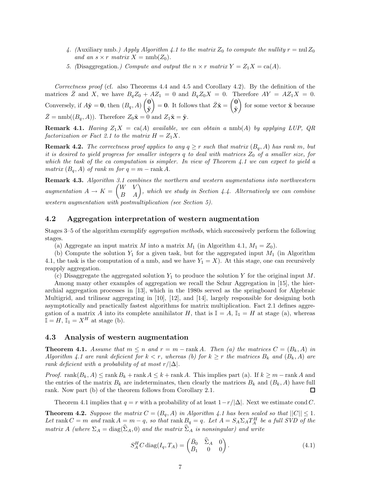- 4. (Auxiliary nmb.) Apply Algorithm 4.1 to the matrix  $Z_0$  to compute the nullity  $r = \text{null } Z_0$ *and an*  $s \times r$  *matrix*  $X = \text{nmb}(Z_0)$ *.*
- *5.* (Disaggregation.) Compute and output the  $n \times r$  matrix  $Y = Z_1 X = ca(A)$ .

*Correctness proof* (cf. also Theorems 4.4 and 4.5 and Corollary 4.2). By the definition of the matrices  $\overline{Z}$  and *X*, we have  $B_qZ_0 + AZ_1 = 0$  and  $B_qZ_0X = 0$ . Therefore  $AY = AZ_1X = 0$ . Conversely, if  $A\tilde{\mathbf{y}} = \mathbf{0}$ , then  $(B_q, A)$   $\begin{pmatrix} \mathbf{0} \\ \tilde{\mathbf{x}} \end{pmatrix}$  $\tilde{\mathbf{y}}$  $\left( \begin{array}{c} 0 \\ 0 \end{array} \right) = 0.$  It follows that  $\bar{Z}\tilde{\mathbf{x}} = \begin{pmatrix} 0 \\ \tilde{\mathbf{x}} \end{pmatrix}$  $\tilde{\textbf{y}}$ for some vector  $\tilde{\mathbf{x}}$  because  $\bar{Z} = \text{nmb}((B_q, A))$ . Therefore  $Z_0\tilde{\mathbf{x}} = 0$  and  $Z_1\tilde{\mathbf{x}} = \tilde{\mathbf{y}}$ .

**Remark 4.1.** *Having*  $Z_1X = ca(A)$  *available, we can obtain a* nmb(*A*) *by applying LUP, QR factorization or Fact 2.1 to the matrix*  $H = Z_1 X$ .

**Remark 4.2.** *The correctness proof applies to any*  $q \geq r$  *such that matrix*  $(B_q, A)$  *has rank m, but it is desired to yield progress for smaller integers q to deal with matrices Z*<sup>0</sup> *of a smaller size, for which the task of the ca computation is simpler. In view of Theorem 4.1 we can expect to yield a matrix*  $(B_q, A)$  *of rank*  $m$  *for*  $q = m - \text{rank } A$ *.* 

**Remark 4.3.** *Algorithm 3.1 combines the northern and western augmentations into northwestern augmentation*  $A \rightarrow K = \begin{pmatrix} W & V \\ B & A \end{pmatrix}$ , which we study in Section 4.4. Alternatively we can combine *western augmentation with postmultiplication (see Section 5).*

### **4.2 Aggregation interpretation of western augmentation**

Stages 3–5 of the algorithm exemplify *aggregation methods*, which successively perform the following stages.

(a) Aggregate an input matrix *M* into a matrix  $M_1$  (in Algorithm 4.1,  $M_1 = Z_0$ ).

(b) Compute the solution *Y*<sup>1</sup> for a given task, but for the aggregated input *M*<sup>1</sup> (in Algorithm 4.1, the task is the computation of a nmb, and we have  $Y_1 = X$ ). At this stage, one can recursively reapply aggregation.

(c) Disaggregate the aggregated solution  $Y_1$  to produce the solution  $Y$  for the original input  $M$ .

Among many other examples of aggregation we recall the Schur Aggregation in [15], the hierarchial aggregation processes in [13], which in the 1980s served as the springboard for Algebraic Multigrid, and trilinear aggregating in [10], [12], and [14], largely responsible for designing both asymptotically and practically fastest algorithms for matrix multiplication. Fact 2.1 defines aggregation of a matrix *A* into its complete annihilator *H*, that is  $\mathbb{I} = A$ ,  $\mathbb{I}_1 = H$  at stage (a), whereas  $\mathbb{I} = H$ ,  $\mathbb{I}_1 = X^H$  at stage (b).

#### **4.3 Analysis of western augmentation**

**Theorem 4.1.** *Assume that*  $m \leq n$  *and*  $r = m - \text{rank } A$ *. Then* (*a*) *the matrices*  $C = (B_k, A)$  *in Algorithm 4.1 are rank deficient for*  $k < r$ , whereas (b) for  $k \geq r$  the matrices  $B_k$  and  $(B_k, A)$  are *rank deficient with a probability of at most*  $r/|\Delta|$ *.* 

*Proof.* rank $(B_k, A) \leq$  rank  $B_k$  + rank  $A \leq k$  + rank  $A$ . This implies part (a). If  $k \geq m$  – rank  $A$  and the entries of the matrix  $B_k$  are indeterminates, then clearly the matrices  $B_k$  and  $(B_k, A)$  have full rank. Now part (b) of the theorem follows from Corollary 2.1. □

Theorem 4.1 implies that  $q = r$  with a probability of at least  $1-r/|\Delta|$ . Next we estimate cond *C*.

**Theorem 4.2.** *Suppose the matrix*  $C = (B_q, A)$  *in Algorithm 4.1 has been scaled so that*  $||C|| \leq 1$ *. Let* rank  $C = m$  and rank  $A = m - q$ , so that rank  $B_q = q$ . Let  $A = S_A \Sigma_A T_A^H$  be a full SVD of the *matrix A (where*  $\Sigma_A = \text{diag}(\widehat{\Sigma}_A, 0)$  *and the matrix*  $\widehat{\Sigma}_A$  *is nonsingular) and write* 

$$
S_A^H C \operatorname{diag}(I_q, T_A) = \begin{pmatrix} \bar{B}_0 & \hat{\Sigma}_A & 0 \\ \bar{B}_1 & 0 & 0 \end{pmatrix} . \tag{4.1}
$$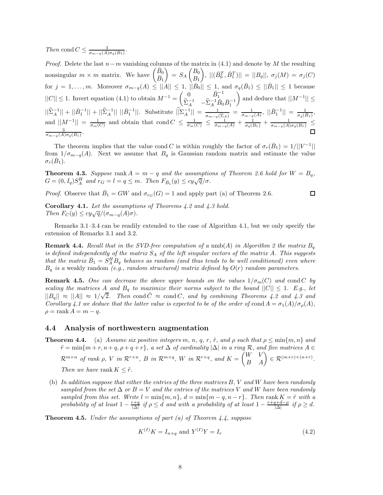*Then* cond  $C \leq \frac{3}{\sigma_{m-q}(A)\sigma_q(B_1)}$ .

*Proof.* Delete the last *n*−*m* vanishing columns of the matrix in (4.1) and denote by *M* the resulting nonsingular  $m \times m$  matrix. We have  $\begin{pmatrix} \bar{B}_0 \\ \bar{D} \end{pmatrix}$  $\bar{B}_1$  $= S_A \begin{pmatrix} B_0 \\ B \end{pmatrix}$ *B*1  $\Big),\ ||(\bar B_{0}^{T},\bar B_{1}^{T})||\ =\ ||B_{q}||,\ \sigma_{j}(M)\ =\ \sigma_{j}(C)$ for  $j = 1, \ldots, m$ . Moreover  $\sigma_{m-q}(A) \leq ||A|| \leq 1$ ,  $||\bar{B}_0|| \leq 1$ , and  $\sigma_q(\bar{B}_1) \leq ||\bar{B}_1|| \leq 1$  because  $||C|| \leq 1$ . Invert equation (4.1) to obtain  $M^{-1} = \begin{pmatrix} 0 & \bar{B}_1^{-1} \\ \hat{B}_1^{-1} & \hat{B}_1^{-1} \end{pmatrix}$  $\widehat{\Sigma}_A^{-1}$   $-\widehat{\Sigma}_A^{-1} \bar{B}_0 \bar{B}_1^{-1}$ and deduce that  $||M^{-1}||$  ≤  $||\hat{\Sigma}_A^{-1}|| + ||\bar{B}_1^{-1}|| + ||\hat{\Sigma}_A^{-1}|| ||\bar{B}_1^{-1}||.$  Substitute  $||\hat{\Sigma}_A^{-1}|| = \frac{1}{\sigma_{m-q}(\hat{\Sigma}_A)} = \frac{1}{\sigma_{m-q}(A)}, ||\bar{B}_1^{-1}|| = \frac{1}{\sigma_q(\bar{B}_1)},$ and  $||M^{-1}|| = \frac{1}{\sigma_m(C)}$  and obtain that cond  $C \leq \frac{1}{\sigma_m(C)} \leq \frac{1}{\sigma_{m-q}(A)} + \frac{1}{\sigma_q(B_1)} + \frac{1}{\sigma_{m-q}(A)\sigma_q(B_1)} \leq \frac{3}{\sigma_{m-q}(B_1)} + \frac{1}{\sigma_{m-q}(B_1)} + \frac{1}{\sigma_{m-q}(B_1)} + \frac{1}{\sigma_{m-q}(B_1)}$  $rac{3}{\sigma_{m-q}(A)\sigma_q(B_1)}$ .

The theorem implies that the value cond *C* is within roughly the factor of  $\sigma_r(B_1) = 1/||V^{-1}||$ from  $1/\sigma_{m-q}(A)$ . Next we assume that  $B_q$  is Gaussian random matrix and estimate the value  $\sigma_r(\bar{B}_1)$ .

**Theorem 4.3.** *Suppose* rank  $A = m - q$  *and the assumptions of Theorem 2.6 hold for*  $W = B_q$ , *G* =  $(0, I_q)S_A^H$  and  $r_G = l = q \leq m$ . Then  $F_{\bar{B}_1}(y) \leq cy\sqrt{q}/\sigma$ .

*Proof.* Observe that  $\bar{B}_1 = GW$  and  $\sigma_{rG}(G) = 1$  and apply part (a) of Theorem 2.6.

 $\Box$ 

**Corollary 4.1.** *Let the assumptions of Theorems 4.2 and 4.3 hold.*  $\text{Then } F_C(y) \leq cy\sqrt{q}/(\sigma_{m-q}(A)\sigma).$ 

Remarks 3.1–3.4 can be readily extended to the case of Algorithm 4.1, but we only specify the extension of Remarks 3.1 and 3.2.

**Remark 4.4.** Recall that in the SVD-free computation of a nmb(A) in Algorithm 2 the matrix  $B_q$ *is defined independently of the matrix S*<sup>A</sup> *of the left singular vectors of the matrix A. This suggests that the matrix*  $\bar{B}_1 = \tilde{S}_A^H \tilde{B}_q$  *behaves as random (and thus tends to be well conditioned) even where B*<sup>q</sup> *is a* weakly random *(e.g., random structured) matrix defined by O*(*r*) *random parameters.*

**Remark 4.5.** One can decrease the above upper bounds on the values  $1/\sigma_m(C)$  and cond *C* by *scaling the matrices A and*  $B_q$  *to maximize their norms subject to the bound*  $||C|| \le 1$ *. E.g., let*  $||B_q|| \approx ||A|| \approx 1/\sqrt{2}$ . Then cond  $\tilde{C} \approx$  cond *C*, and by combining Theorems 4.2 and 4.3 and  $||B_q|| \approx ||A|| \approx 1/\sqrt{2}$ . *Corollary 4.1 we deduce that the latter value is expected to be of the order of* cond  $A = \sigma_1(A)/\sigma_0(A)$ ,  $\rho = \text{rank } A = m - q$ .

#### **4.4 Analysis of northwestern augmentation**

**Theorem 4.4.** (a) *Assume six positive integers*  $m, n, q, r, \tilde{r}$ *, and*  $\rho$  *such that*  $\rho \le \min\{m, n\}$  *and*  $\tilde{r} = \min\{m + r, n + q, \rho + q + r\},\$ a set  $\Delta$  of cardinality  $|\Delta|$  in a ring R, and five matrices  $A \in$  $\mathcal{R}^{m \times n}$  *of rank*  $\rho$ ,  $V$  *in*  $\mathcal{R}^{r \times n}$ ,  $B$  *in*  $\mathcal{R}^{m \times q}$ ,  $W$  *in*  $\mathcal{R}^{r \times q}$ , and  $K = \begin{pmatrix} W & V \\ B & A \end{pmatrix} \in \mathcal{R}^{(m+r) \times (n+r)}$ .

*Then we have* rank  $K \leq \tilde{r}$ .

(b) *In addition suppose that either the entries of the three matrices B, V and W have been randomly sampled from the set*  $\Delta$  *or*  $B = V$  *and the entries of the matrices V and W have been randomly*  $sampled$  *from this set.* Write  $l = \min\{m, n\}$ ,  $d = \min\{m - q, n - r\}$ . Then rank  $K = \tilde{r}$  with a  $p$ robability of at least  $1 - \frac{r+q}{|\Delta|}$  if  $\rho \leq d$  and with a probability of at least  $1 - \frac{r+q+d-\rho}{|\Delta|}$  if  $\rho \geq d$ .

**Theorem 4.5.** *Under the assumptions of part (a) of Theorem 4.4, suppose*

$$
K^{(I)}K = I_{n+q} \text{ and } Y^{(I)}Y = I_r
$$
\n(4.2)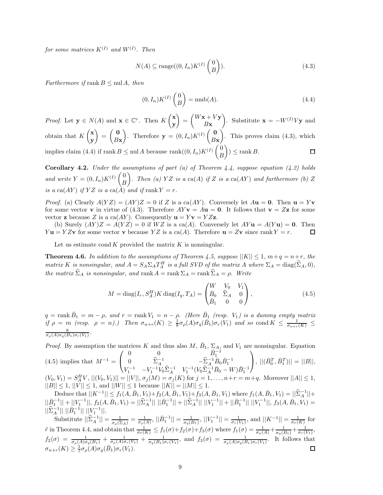$for some matrices K^{(I)}$  and  $W^{(I)}$ . Then

$$
N(A) \subseteq \text{range}((0, I_n)K^{(I)}\begin{pmatrix} 0 \\ B \end{pmatrix}).
$$
\n(4.3)

*Furthermore if* rank  $B \leq \text{null } A$ *, then* 

$$
(0, I_n)K^{(I)}\begin{pmatrix}0\\B\end{pmatrix} = \text{nmb}(A). \tag{4.4}
$$

 $\bigg) = \begin{pmatrix} W\mathbf{x} + V\mathbf{y} \\ P\mathbf{x} \end{pmatrix}$ *Proof.* Let  $\mathbf{y} \in N(A)$  and  $\mathbf{x} \in \mathbb{C}^r$ . Then  $K\begin{pmatrix} \mathbf{x} \\ \mathbf{y} \end{pmatrix}$ ). Substitute  $\mathbf{x} = -W^{(I)}V\mathbf{y}$  and *B***x y** obtain that  $K\left(\begin{matrix} \mathbf{x} \\ \mathbf{y} \end{matrix}\right)$  $= \begin{pmatrix} 0 \\ p_2 \end{pmatrix}$ ). Therefore  $\mathbf{y} = (0, I_n)K^{(I)}\begin{pmatrix} \mathbf{0} \\ \mathbf{0} \end{pmatrix}$ ). This proves claim  $(4.3)$ , which *B***x** *B***x y** implies claim (4.4) if rank  $B \leq \text{null } A$  because rank $((0, I_n)K^{(I)} \begin{pmatrix} 0 \end{pmatrix}$  $\Big)$   $\leq$  rank *B*.  $\Box$ *B*

**Corollary 4.2.** *Under the assumptions of part (a) of Theorem 4.4, suppose equation (4.2) holds and write*  $Y = (0, I_n)K^{(I)}\left(\begin{array}{c} 0 \ 0 \end{array}\right)$ *B )*. Then (a)  $YZ$  is a ca(A) if  $Z$  is a ca(AY) and furthermore (b)  $Z$ *is a*  $ca(AY)$  *if*  $YZ$  *is a*  $ca(A)$  *and if*  $rank Y = r$ *.* 

*Proof.* (a) Clearly  $A(YZ) = (AY)Z = 0$  if *Z* is a ca(*AY*). Conversely let  $A**u** = **0**$ . Then  $$ for some vector **v** in virtue of (4.3). Therefore  $AYv = Au = 0$ . It follows that  $v = Zz$  for some vector **z** because *Z* is a ca(*AY*). Consequently  $\mathbf{u} = Y\mathbf{v} = YZ\mathbf{z}$ .

(b) Surely  $(AY)Z = A(YZ) = 0$  if  $WZ$  is a ca(A). Conversely let  $AYu = A(Yu) = 0$ . Then *Y* **u** = *YZ***v** for some vector **v** because *YZ* is a ca(*A*). Therefore **u** = *Z***v** since rank *Y* = *r*. □

Let us estimate cond  $K$  provided the matrix  $K$  is nonsingular.

**Theorem 4.6.** In addition to the assumptions of Theorem 4.5, suppose  $||K|| \leq 1$ ,  $m+q = n+r$ , the *matrix K is nonsingular, and*  $A = S_A \Sigma_A T_A^H$  *is a full SVD of the matrix A* where  $\Sigma_A = \text{diag}(\widehat{\Sigma}_A, 0)$ *,*  $the$  *matrix*  $\hat{\Sigma}_A$  *is nonsingular, and*  $\text{rank } A = \text{rank } \Sigma_A = \text{rank } \hat{\Sigma}_A = \rho$ *. Write* 

$$
M = \text{diag}(I_r, S_A^H) K \text{ diag}(I_q, T_A) = \begin{pmatrix} W & V_0 & V_1 \\ \bar{B}_0 & \hat{\Sigma}_A & 0 \\ \bar{B}_1 & 0 & 0 \end{pmatrix},
$$
(4.5)

 $q = \text{rank } \overline{B}_1 = m - \rho$ , and  $r = \text{rank } V_1 = n - \rho$ . (Here  $\overline{B}_1$  (resp.  $V_1$ ) is a dummy empty matrix  $if \rho = m \ (resp. \ \rho = n)$ .) Then  $\sigma_{n+r}(K) \geq \frac{1}{8}\sigma_{\rho}(A)\sigma_q(\bar{B}_1)\sigma_r(V_1)$  and so cond  $K \leq \frac{1}{\sigma_{n+r}(K)} \leq$  $\frac{8}{\sigma_{\rho}(A)\sigma_q(B_1)\sigma_r(V_1)}$ .

*Proof.* By assumption the matrices *K* and thus also *M*,  $\bar{B}_1$ ,  $\Sigma_A$ , and  $V_1$  are nonsingular. Equation  $(4.5)$  implies that  $M^{-1} =$  $\sqrt{ }$  $\mathcal{L}$ 0 0  $\bar{B}_1^{-1}$  $V_1^{-1}$   $-V_1^{-1}V_0\hat{\Sigma}_A^{-1}$   $V_1^{-1}(V_0\hat{\Sigma}_A^{-1}\bar{B}_0 - W)\bar{B}_1^{-1}$  $(V_0, V_1) = S_A^H V, ||(V_0, V_1)|| = ||V||, \sigma_j(M) = \sigma_j(K)$  for  $j = 1, ..., n+r = m+q$ . Moreover  $||A|| \le 1$ ,  $\setminus$  $\Big\}, \, ||(\bar{B}^T_0, \bar{B}^T_1)|| = ||B||,$  $||B|| \leq 1, ||\vec{V}|| \leq 1$ , and  $||\vec{W}|| \leq 1$  because  $||K|| = ||M|| \leq 1$ .

Deduce that  $||K^{-1}|| \le f_1(A, \bar{B}_1, V_1) + f_2(A, \bar{B}_1, V_1) + f_3(A, \bar{B}_1, V_1)$  where  $f_1(A, \bar{B}_1, V_1) = ||\hat{\Sigma}_A^{-1}|| +$  $||\bar{B}_1^{-1}|| + ||V_1^{-1}||, f_2(A, \bar{B}_1, V_1) = ||\hat{\Sigma}_A^{-1}|| ||\bar{B}_1^{-1}|| + ||\hat{\Sigma}_A^{-1}|| ||V_1^{-1}|| + ||\bar{B}_1^{-1}|| ||V_1^{-1}||, f_3(A, \bar{B}_1, V_1) =$  $||\hat{\Sigma}_A^{-1}|| \, ||\bar{B}_1^{-1}|| \, ||V_1^{-1}||.$ 

Substitute  $||\hat{\Sigma}_A^{-1}|| = \frac{1}{\sigma_\rho(\hat{\Sigma}_A)} = \frac{1}{\sigma_\rho(A)}, ||\bar{B}_1^{-1}|| = \frac{1}{\sigma_q(B_1)}, ||V_1^{-1}|| = \frac{1}{\sigma_r(V_1)},$  and  $||K^{-1}|| = \frac{1}{\sigma_{\bar{r}}(K)}$  for  $\tilde{r}$  in Theorem 4.4, and obtain that  $\frac{1}{\sigma_{\tilde{r}}(K)} \leq f_1(\sigma) + f_2(\sigma) + f_3(\sigma)$  where  $f_1(\sigma) = \frac{1}{\sigma_{\rho}(A)} + \frac{1}{\sigma_q(\bar{B}_1)} + \frac{1}{\sigma_r(V_1)}$ ,  $f_2(\sigma) = \frac{1}{\sigma_\rho(A)\sigma_q(B_1)} + \frac{1}{\sigma_\rho(A)\sigma_r(V_1)} + \frac{1}{\sigma_q(B_1)\sigma_r(V_1)}$ , and  $f_3(\sigma) = \frac{1}{\sigma_\rho(A)\sigma_q(B_1)\sigma_r(V_1)}$ . It follows that  $\sigma_{n+r}(K) \geq \frac{1}{7}\sigma_{\rho}(A)\sigma_q(\bar{B}_1)\sigma_r(V_1).$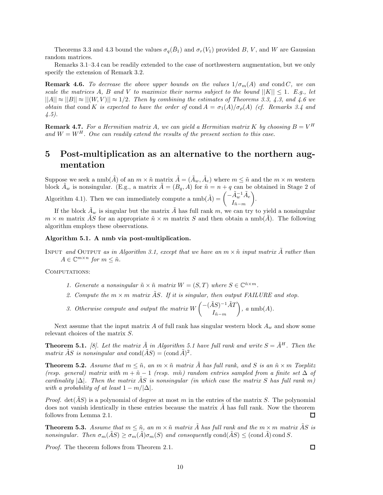Theorems 3.3 and 4.3 bound the values  $\sigma_q(\bar{B}_1)$  and  $\sigma_r(V_1)$  provided *B*, *V*, and *W* are Gaussian random matrices.

Remarks 3.1–3.4 can be readily extended to the case of northwestern augmentation, but we only specify the extension of Remark 3.2.

**Remark 4.6.** *To decrease the above upper bounds on the values*  $1/\sigma_m(A)$  *and* cond *C, we can scale the matrices A*, *B* and *V to maximize their norms subject to the bound*  $||K|| \leq 1$ *. E.g., let*  $||A|| \approx ||B|| \approx ||(W, V)|| \approx 1/2$ . Then by combining the estimates of Theorems 3.3, 4.3, and 4.6 we *obtain that* cond *K is expected to have the order of* cond  $A = \sigma_1(A)/\sigma_0(A)$  (*cf. Remarks 3.4 and 4.5).*

**Remark 4.7.** For a Hermitian matrix A, we can yield a Hermitian matrix K by choosing  $B = V<sup>H</sup>$ and  $W = W^H$ . One can readily extend the results of the present section to this case.

## **5 Post-multiplication as an alternative to the northern augmentation**

Suppose we seek a nmb( $\tilde{A}$ ) of an  $m \times \tilde{n}$  matrix  $\tilde{A} = (\tilde{A}_w, \tilde{A}_e)$  where  $m \leq \tilde{n}$  and the  $m \times m$  western block  $\tilde{A}_w$  is nonsingular. (E.g., a matrix  $\tilde{A} = (B_q, A)$  for  $\tilde{n} = n + q$  can be obtained in Stage 2 of Algorithm 4.1). Then we can immediately compute a  $\text{nmb}(\tilde{A}) = \begin{pmatrix} -\tilde{A}_{w}^{-1} \tilde{A}_{e} & \cdots & \tilde{A}_{e} \end{pmatrix}$  $I_{\tilde n-m}$ .

If the block  $\tilde{A}_w$  is singular but the matrix  $\tilde{A}$  has full rank  $m$ , we can try to yield a nonsingular  $m \times m$  matrix  $\overline{AS}$  for an appropriate  $\tilde{n} \times m$  matrix  $\overline{S}$  and then obtain a nmb(*A*). The following algorithm employs these observations.

#### **Algorithm 5.1. A nmb via post-multiplication.**

INPUT *and* OUTPUT *as in Algorithm 3.1, except that we have an*  $m \times \tilde{n}$  *input matrix*  $\tilde{A}$  *rather than*  $A \in \mathbb{C}^{m \times n}$  *for*  $m \leq \tilde{n}$ *.* 

COMPUTATIONS:

- *1. Generate a nonsingular*  $\tilde{n} \times \tilde{n}$  *matrix*  $W = (S, T)$  *where*  $S \in \mathbb{C}^{\tilde{n} \times m}$ *.*
- 2. Compute the  $m \times m$  matrix  $\tilde{A}S$ . If it is singular, then output FAILURE and stop.
- *3. Otherwise compute and output the matrix*  $W\left(-\left(\frac{\tilde{A}S}{I}\right)^{-1}\tilde{A}T\right)$  $I_{\tilde n-m}$  $\bigg), a \text{ nmb}(A).$

Next assume that the input matrix  $A$  of full rank has singular western block  $A_w$  and show some relevant choices of the matrix *S*.

**Theorem 5.1.** [8]. Let the matrix  $\tilde{A}$  in Algorithm 5.1 have full rank and write  $S = \tilde{A}^H$ . Then the *matrix AS is nonsingular and*  $cond(AS) = (cond A)^2$ .

**Theorem 5.2.** Assume that  $m \leq \tilde{n}$ , an  $m \times \tilde{n}$  matrix  $\tilde{A}$  has full rank, and  $S$  is an  $\tilde{n} \times m$  Toeplitz *(resp. general) matrix with*  $m + \tilde{n} - 1$  *(resp. mñ) random entries sampled from a finite set*  $\Delta$  *of cardinality*  $|\Delta|$ *. Then the matrix AS is nonsingular (in which case the matrix S has full rank m) with a probability of at least*  $1 - m/|\Delta|$ *.* 

*Proof.*  $det(AS)$  is a polynomial of degree at most *m* in the entries of the matrix *S*. The polynomial does not vanish identically in these entries because the matrix  $\ddot{A}$  has full rank. Now the theorem follows from Lemma 2.1. П

**Theorem 5.3.** Assume that  $m \leq \tilde{n}$ , an  $m \times \tilde{n}$  matrix  $\tilde{A}$  has full rank and the  $m \times m$  matrix  $\tilde{A}S$  is *nonsingular.* Then  $\sigma_m(\tilde{A}S) \geq \sigma_m(\tilde{A})\sigma_m(S)$  and consequently cond $(\tilde{A}S) \leq (\text{cond }\tilde{A}) \text{cond }S$ .

*Proof.* The theorem follows from Theorem 2.1.

 $\Box$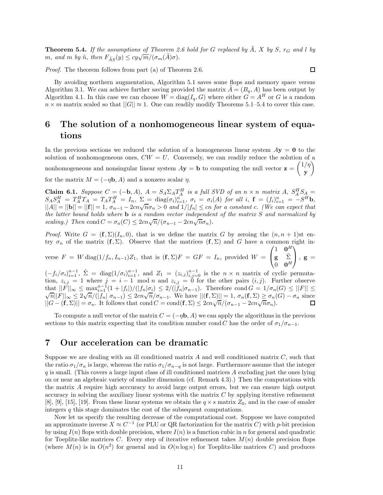**Theorem 5.4.** If the assumptions of Theorem 2.6 hold for G replaced by  $\tilde{A}$ ,  $X$  by  $S$ *,*  $r_G$  and *l* by *m*, and *m by*  $\tilde{n}$ *, then*  $F_{\tilde{A}S}(y) \leq cy\sqrt{m}/(\sigma_m(\tilde{A})\sigma)$ *.* 

*Proof.* The theorem follows from part (a) of Theorem 2.6.

By avoiding northern augmentation, Algorithm 5.1 saves some flops and memory space versus Algorithm 3.1. We can achieve further saving provided the matrix  $\tilde{A} = (B_q, A)$  has been output by Algorithm 4.1. In this case we can choose  $W = diag(I_q, G)$  where either  $G = A^H$  or *G* is a random  $n \times m$  matrix scaled so that  $||G|| \approx 1$ . One can readily modify Theorems 5.1–5.4 to cover this case.

## **6 The solution of a nonhomogeneous linear system of equations**

In the previous sections we reduced the solution of a homogeneous linear system  $A$ **y** = **0** to the solution of nonhomogeneous ones,  $CW = U$ . Conversely, we can readily reduce the solution of a nonhomogeneous and nonsingular linear system  $A$ **y** = **b** to computing the null vector  $\mathbf{z} = \begin{pmatrix} 1/\eta \\ 1/\eta \end{pmatrix}$ **y**  $\setminus$ for the matrix  $M = (-\eta \mathbf{b}, A)$  and a nonzero scalar  $\eta$ .

**Claim 6.1.** *Suppose*  $C = (-b, A)$ ,  $A = S_A \Sigma_A T_A^H$  *is a full SVD of an*  $n \times n$  *matrix*  $A$ *,*  $S_A^H S_A =$  $S_A S_A^H = T_A^H T_A = T_A T_A^H = I_n$ ,  $\Sigma = \text{diag}(\sigma_i)_{i=1}^n$ ,  $\sigma_i = \sigma_i(A)$  for all  $i$ ,  $\mathbf{f} = (f_i)_{i=1}^n = -S^H \mathbf{b}$ ,<br> $||A|| = ||\mathbf{b}|| = ||\mathbf{f}|| = 1$ ,  $\sigma_{n-1} - 2cn\sqrt{n}\sigma_n > 0$  and  $1/|f_n| \le cn$  for a constant c. (We can expect that *the latter bound holds where* **b** *is a random vector independent of the matrix S and normalized by scaling.)* Then cond  $C = \sigma_n(C) \leq 2cn\sqrt{n}/(\sigma_{n-1} - 2cn\sqrt{n}\sigma_n)$ .

*Proof.* Write  $G = (\mathbf{f}, \Sigma)(I_n, 0)$ , that is we define the matrix *G* by zeroing the  $(n, n + 1)$ st entry  $\sigma_n$  of the matrix  $(f, \Sigma)$ . Observe that the matrices  $(f, \Sigma)$  and *G* have a common right in-

verse  $F = W \text{ diag}(1/f_n, I_{n-1})Z_1$ , that is  $(\mathbf{f}, \Sigma)F = GF = I_n$ , provided  $W =$  $\sqrt{ }$  $\mathcal{L}$  $1 \quad 0^H$ **g** Σ˜  $\mathbf{0}$  **0**<sup>H</sup>  $\setminus$  $\Big\}$ ,  $\mathbf{g} =$ 

 $(-f_i/\sigma_i)_{i=1}^{n-1}$ ,  $\tilde{\Sigma} = \text{diag}(1/\sigma_i)_{i=1}^{n-1}$ , and  $Z_1 = (z_{i,j})_{i,j=0}^{n-1}$  is the  $n \times n$  matrix of cyclic permutation,  $z_{i,j} = 1$  where  $j = i - 1$  mod *n* and  $z_{i,j} = 0$  for the other pairs  $(i, j)$ . Further observe that  $||F||_{\infty} \le \max_{i=1}^{n-1} (1+|f_i|)/(|f_n|\sigma_i) \le 2/(|f_n|\sigma_{n-1})$ . Therefore  $\text{cond } G = 1/\sigma_n(G) \le ||F|| \le \sqrt{n}||F||_{\infty} \le 2\sqrt{n}/(|f_n|\sigma_{n-1}) \le 2cn\sqrt{n}/\sigma_{n-1}$ . We have  $||(f, \Sigma)|| = 1$ ,  $\sigma_n(f, \Sigma) \ge \sigma_n(G) - \sigma_n$  since  $\left|\frac{\partial f}{\partial t}\right|_{\infty} \leq 2\sqrt{n}/(\frac{1}{n} \theta_{n-1}) \leq 2cn\sqrt{n}/\theta_{n-1}$ . We have  $\left|\frac{\partial f}{\partial t}\right|_{\infty} \leq 2n\sqrt{n}/(\sigma_{n-1} - 2cn\sqrt{n}\sigma_n)$ .<br> $\left|\frac{\partial f}{\partial t}\right|_{\infty} = \sigma_n$ . It follows that cond  $C = \text{cond}(\mathbf{f}, \Sigma) \leq 2cn\sqrt{n}/(\sigma_{n-1} - 2cn\sqrt{n}\sigma_n)$ .

To compute a null vector of the matrix  $C = (-\eta \mathbf{b}, A)$  we can apply the algorithms in the previous sections to this matrix expecting that its condition number cond *C* has the order of  $\sigma_1/\sigma_{n-1}$ .

## **7 Our acceleration can be dramatic**

Suppose we are dealing with an ill conditioned matrix *A* and well conditioned matrix *C*, such that the ratio  $\sigma_1/\sigma_n$  is large, whereas the ratio  $\sigma_1/\sigma_{n-q}$  is not large. Furthermore assume that the integer *q* is small. (This covers a large input class of ill conditioned matrices *A* excluding just the ones lying on or near an algebraic variety of smaller dimension (cf. Remark 4.3).) Then the computations with the matrix *A* require high acccuracy to avoid large output errors, but we can ensure high output accuracy in solving the auxiliary linear systems with the matrix *C* by applying iterative refinement [8], [9], [15], [19]. From these linear systems we obtain the  $q \times s$  matrix  $Z_0$ , and in the case of smaler integers *q* this stage dominates the cost of the subsequent computations.

Now let us specify the resulting decrease of the computational cost. Suppose we have computed an approximate inverse  $X \approx C^{-1}$  (or PLU or QR factorization for the matrix *C*) with *p*-bit precision by using  $I(n)$  flops with double precision, where  $I(n)$  is a function cubic in *n* for general and quadratic for Toeplitz-like matrices *C*. Every step of iterative refinement takes  $M(n)$  double precision flops (where  $M(n)$  is in  $O(n^2)$  for general and in  $O(n \log n)$  for Toeplitz-like matrices C) and produces

 $\Box$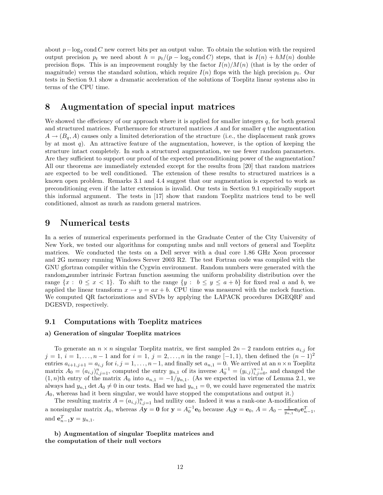about *p*−log<sup>2</sup> cond *C* new correct bits per an output value. To obtain the solution with the required output precision  $p_t$  we need about  $h = p_t/(p - \log_2 \text{cond } C)$  steps, that is  $I(n) + hM(n)$  double precision flops. This is an improvement roughly by the factor  $I(n)/M(n)$  (that is by the order of magnitude) versus the standard solution, which require  $I(n)$  flops with the high precision  $p_t$ . Our tests in Section 9.1 show a dramatic acceleration of the solutions of Toeplitz linear systems also in terms of the CPU time.

## **8 Augmentation of special input matrices**

We showed the effeciency of our approach where it is applied for smaller integers *q*, for both general and structured matrices. Furthermore for structured matrices *A* and for smaller *q* the augmentation  $A \rightarrow (B_q, A)$  causes only a limited deterioration of the structure (i.e., the displacement rank grows by at most *q*). An attractive feature of the augmentation, however, is the option of keeping the structure intact completely. In such a structured augmentation, we use fewer random parameters. Are they sufficient to support our proof of the expected preconditioning power of the augmentation? All our theorems are immediately extended except for the results from [20] that random matrices are expected to be well conditioned. The extension of these results to structured matrices is a known open problem. Remarks 3.1 and 4.4 suggest that our augmentation is expected to work as preconditioning even if the latter extension is invalid. Our tests in Section 9.1 empirically support this informal argument. The tests in [17] show that random Toeplitz matrices tend to be well conditioned, almost as much as random general matrices.

## **9 Numerical tests**

In a series of numerical experiments performed in the Graduate Center of the City University of New York, we tested our algorithms for computing nmbs and null vectors of general and Toeplitz matrices. We conducted the tests on a Dell server with a dual core 1.86 GHz Xeon processor and 2G memory running Windows Server 2003 R2. The test Fortran code was compiled with the GNU gfortran compiler within the Cygwin environment. Random numbers were generated with the random number intrinsic Fortran function assuming the uniform probability distribution over the range  $\{x : 0 \leq x < 1\}$ . To shift to the range  $\{y : b \leq y \leq a + b\}$  for fixed real *a* and *b*, we applied the linear transform  $x \to y = ax + b$ . CPU time was measured with the mclock function. We computed QR factorizations and SVDs by applying the LAPACK procedures DGEQRF and DGESVD, respectively.

#### **9.1 Computations with Toeplitz matrices**

#### **a) Generation of singular Toeplitz matrices**

To generate an  $n \times n$  singular Toeplitz matrix, we first sampled  $2n - 2$  random entries  $a_{i,j}$  for *j* = 1, *i* = 1,..., *n* − 1 and for *i* = 1, *j* = 2,..., *n* in the range [−1, 1], then defined the  $(n-1)^2$ entries  $a_{i+1,j+1} = a_{i,j}$  for  $i, j = 1, \ldots, n-1$ , and finally set  $a_{n,1} = 0$ . We arrived at an  $n \times n$  Toeplitz matrix  $A_0 = (a_{i,j})_{i,j=1}^n$ , computed the entry  $y_{n,1}$  of its inverse  $A_0^{-1} = (y_{i,j})_{i,j=0}^{n-1}$ , and changed the  $(1, n)$ th entry of the matrix  $A_0$  into  $a_{n,1} = -1/y_{n,1}$ . (As we expected in virtue of Lemma 2.1, we always had  $y_{n,1}$  det  $A_0 \neq 0$  in our tests. Had we had  $y_{n,1} = 0$ , we could have regenerated the matrix *A*0, whereas had it been singular, we would have stopped the computations and output it.)

The resulting matrix  $A = (a_{i,j})_{i,j=1}^n$  had nullity one. Indeed it was a rank-one A-modification of a nonsingular matrix  $A_0$ , whereas  $A\mathbf{y} = \mathbf{0}$  for  $\mathbf{y} = A_0^{-1}\mathbf{e}_0$  because  $A_0\mathbf{y} = \mathbf{e}_0$ ,  $A = A_0 - \frac{1}{y_{n,1}}\mathbf{e}_0\mathbf{e}_{n-1}^T$ , and  $e_{n-1}^T y = y_{n,1}$ .

**b) Augmentation of singular Toeplitz matrices and the computation of their null vectors**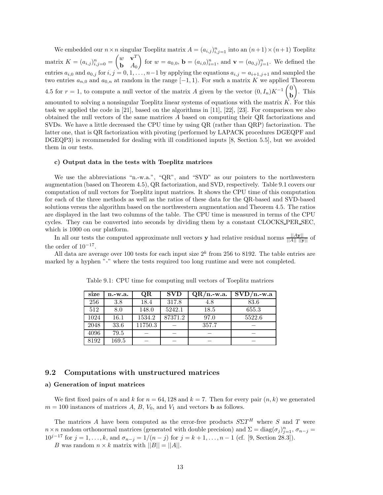We embedded our  $n \times n$  singular Toeplitz matrix  $A = (a_{i,j})_{i,j=1}^n$  into an  $(n+1) \times (n+1)$  Toeplitz matrix  $K = (a_{i,j})_{i,j=0}^n = \begin{pmatrix} w & \mathbf{v}^T \\ \mathbf{b} & A_0 \end{pmatrix}$ **b** *A*<sup>0</sup> for  $w = a_{0,0}$ ,  $\mathbf{b} = (a_{i,0})_{i=1}^n$ , and  $\mathbf{v} = (a_{0,j})_{j=1}^n$ . We defined the entries  $a_{i,0}$  and  $a_{0,j}$  for  $i, j = 0, 1, \ldots, n-1$  by applying the equations  $a_{i,j} = a_{i+1,j+1}$  and sampled the two entries  $a_{n,0}$  and  $a_{0,n}$  at random in the range  $[-1,1)$ . For such a matrix *K* we applied Theorem 4.5 for  $r = 1$ , to compute a null vector of the matrix *A* given by the vector  $(0, I_n)K^{-1} \begin{pmatrix} 0 \\ h \end{pmatrix}$ **b**  $\big)$ . This amounted to solving a nonsingular Toeplitz linear systems of equations with the matrix  $\overrightarrow{K}$ . For this task we applied the code in [21], based on the algorithms in [11], [22], [23]. For comparison we also obtained the null vectors of the same matrices *A* based on computing their QR factorizations and SVDs. We have a little decreased the CPU time by using QR (rather than QRP) factorization. The latter one, that is QR factorization with pivoting (performed by LAPACK procedures DGEQPF and DGEQP3) is recommended for dealing with ill conditioned inputs [8, Section 5.5], but we avoided them in our tests.

#### **c) Output data in the tests with Toeplitz matrices**

We use the abbreviations "n.-w.a.", "QR", and "SVD" as our pointers to the northwestern augmentation (based on Theorem 4.5), QR factorization, and SVD, respectively. Table 9.1 covers our computation of null vectors for Toeplitz input matrices. It shows the CPU time of this computation for each of the three methods as well as the ratios of these data for the QR-based and SVD-based solutions versus the algorithm based on the northwestern augmentation and Theorem 4.5. The ratios are displayed in the last two columns of the table. The CPU time is measured in terms of the CPU cycles. They can be converted into seconds by dividing them by a constant CLOCKS PER SEC, which is 1000 on our platform.

In all our tests the computed approximate null vectors **y** had relative residual norms  $\frac{||A\mathbf{y}||}{||A|| \cdot \|\mathbf{y}\|}$  of the order of  $10^{-17}$ .

All data are average over 100 tests for each input size  $2^k$  from 256 to 8192. The table entries are marked by a hyphen "-" where the tests required too long runtime and were not completed.

| size | $n.-w.a.$ | QR      | <b>SVD</b> | $QR/n$ -w.a. | $SVD/n.-w.a$ |
|------|-----------|---------|------------|--------------|--------------|
| 256  | 3.8       | 18.4    | 317.8      | 4.8          | 83.6         |
| 512  | 8.0       | 148.0   | 5242.1     | 18.5         | 655.3        |
| 1024 | 16.1      | 1534.2  | 87371.2    | 97.0         | 5522.6       |
| 2048 | 33.6      | 11750.3 |            | 357.7        |              |
| 4096 | 79.5      |         |            |              |              |
| 8192 | 169.5     |         |            |              |              |

Table 9.1: CPU time for computing null vectors of Toeplitz matrices

#### **9.2 Computations with unstructured matrices**

#### **a) Generation of input matrices**

We first fixed pairs of *n* and *k* for  $n = 64, 128$  and  $k = 7$ . Then for every pair  $(n, k)$  we generated  $m = 100$  instances of matrices  $A, B, V_0$ , and  $V_1$  and vectors **b** as follows.

The matrices *A* have been computed as the error-free products  $S\Sigma T^H$  where *S* and *T* were *n*×*n* random orthonormal matrices (generated with double precision) and  $\Sigma = diag(\sigma_j)_{j=1}^n$ ,  $\sigma_{n-j} =$ 10<sup>*j*-17</sup> for  $j = 1, ..., k$ , and  $\sigma_{n-j} = 1/(n-j)$  for  $j = k+1, ..., n-1$  (cf. [9, Section 28.3]).

*B* was random  $n \times k$  matrix with  $||B|| = ||A||$ .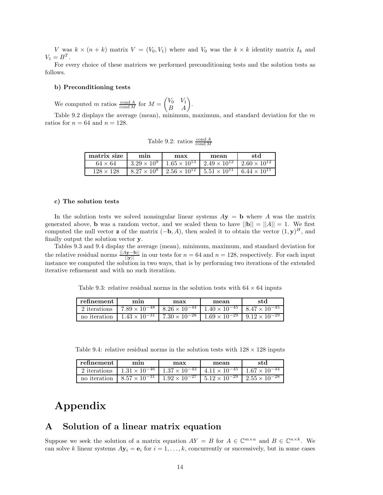*V* was  $k \times (n + k)$  matrix  $V = (V_0, V_1)$  where and  $V_0$  was the  $k \times k$  identity matrix  $I_k$  and  $V_1 = B^T$ .

For every choice of these matrices we performed preconditioning tests and the solution tests as follows.

#### **b) Preconditioning tests**

We computed *m* ratios  $\frac{\text{cond } A}{\text{cond } M}$  for  $M = \begin{pmatrix} V_0 & V_1 \\ B & A \end{pmatrix}$ .

Table 9.2 displays the average (mean), minimum, maximum, and standard deviation for the *m* ratios for  $n = 64$  and  $n = 128$ .

Table 9.2: ratios  $\frac{\text{cond } A}{\text{cond } M}$ 

| matrix size      | mın                | max                                                                                        | mean | std |
|------------------|--------------------|--------------------------------------------------------------------------------------------|------|-----|
| $64 \times 64$   |                    | $3.29 \times 10^9$   $1.65 \times 10^{13}$   $2.49 \times 10^{12}$   $2.60 \times 10^{12}$ |      |     |
| $128 \times 128$ | $8.27 \times 10^8$ | $\frac{1}{2.56 \times 10^{12}}$ 5.51 $\times 10^{11}$ 6.44 $\times 10^{11}$                |      |     |

#### **c) The solution tests**

In the solution tests we solved nonsingular linear systems  $A$ **y** = **b** where *A* was the matrix generated above, **b** was a random vector, and we scaled them to have  $||\mathbf{b}|| = ||A|| = 1$ . We first computed the null vector **z** of the matrix  $(-\mathbf{b}, A)$ , then scaled it to obtain the vector  $(1, \mathbf{y})^H$ , and finally output the solution vector **y**.

Tables 9.3 and 9.4 display the average (mean), minimum, maximum, and standard deviation for the relative residual norms  $\frac{\|A\mathbf{y} - \mathbf{b}\|}{\|\mathbf{y}\|}$  in our tests for  $n = 64$  and  $n = 128$ , respectively. For each input instance we computed the solution in two ways, that is by performing two iterations of the extended iterative refinement and with no such iteratiion.

Table 9.3: relative residual norms in the solution tests with  $64 \times 64$  inputs

| refinement   | mın | max                                                        | mean                   | std                    |
|--------------|-----|------------------------------------------------------------|------------------------|------------------------|
| 2 iterations |     | $17.89 \times 10^{-48}$   $8.26 \times 10^{-44}$           | $1.40 \times 10^{-45}$ | $8.47 \times 10^{-45}$ |
| no iteration |     | $1.43 \times 10^{-31}$   $7.\overline{30 \times 10^{-28}}$ | $1.69 \times 10^{-29}$ | $9.12 \times 10^{-29}$ |

Table 9.4: relative residual norms in the solution tests with  $128 \times 128$  inputs

| refinement   | mın                                                                                          | max                                             | mean | std                    |
|--------------|----------------------------------------------------------------------------------------------|-------------------------------------------------|------|------------------------|
|              | 2 iterations $1.31 \times 10^{-46}$ $\overline{1.37 \times 10^{-43}$ $4.11 \times 10^{-45}}$ |                                                 |      | $1.67 \times 10^{-44}$ |
| no iteration | $8.57 \times 10^{-31}$ 1                                                                     | $1.92 \times 10^{-27}$   $5.12 \times 10^{-29}$ |      | $2.55 \times 10^{-28}$ |

## **Appendix**

## **A Solution of a linear matrix equation**

Suppose we seek the solution of a matrix equation  $AY = B$  for  $A \in \mathbb{C}^{m \times n}$  and  $B \in \mathbb{C}^{n \times k}$ . We can solve *k* linear systems  $A\mathbf{y}_i = \mathbf{e}_i$  for  $i = 1, \ldots, k$ , concurrently or successively, but in some cases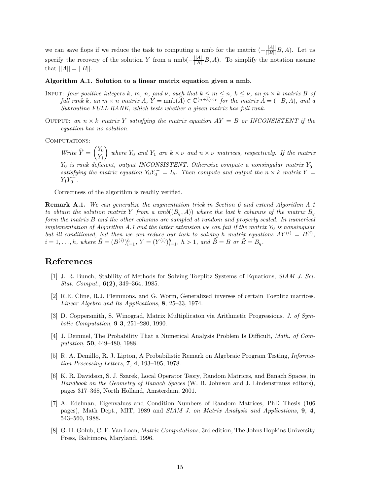we can save flops if we reduce the task to computing a nmb for the matrix  $\left(-\frac{||A||}{||B||}B, A\right)$ . Let us specify the recovery of the solution *Y* from a  $\text{nmb}(-\frac{||A||}{||B||}B, A)$ . To simplify the notation assume that  $||A|| = ||B||$ .

#### **Algorithm A.1. Solution to a linear matrix equation given a nmb.**

- INPUT: four positive integers k, m, n, and v, such that  $k \le m \le n$ ,  $k \le \nu$ , an  $m \times k$  matrix B of *full rank k, an*  $m \times n$  *matrix*  $\widehat{A}$ *,*  $\widehat{Y} = \text{nmb}(\widehat{A}) \in \mathbb{C}^{(n+k)\times \nu}$  *for the matrix*  $\widehat{A} = (-B, A)$ *, and a Subroutine FULL*·*RANK, which tests whether a given matrix has full rank.*
- OUTPUT: an  $n \times k$  matrix Y satisfying the matrix equation  $AY = B$  or INCONSISTENT if the *equation has no solution.*

COMPUTATIONS:

*Write*  $\widehat{Y} = \begin{pmatrix} Y_0 \\ Y_1 \end{pmatrix}$ *Y*1 *where*  $Y_0$  *and*  $Y_1$  *are*  $k \times \nu$  *and*  $n \times \nu$  *matrices, respectively. If the matrix Y*<sub>0</sub> *is rank deficient, output INCONSISTENT. Otherwise compute a nonsingular matrix*  $Y_0^$ *satisfying the matrix equation*  $Y_0Y_0^- = I_k$ *. Then compute and output the*  $n \times k$  *matrix*  $Y =$  $Y_1 Y_0^-$ .

Correctness of the algorithm is readily verified.

**Remark A.1.** *We can generalize the augmentation trick in Section 6 and extend Algorithm A.1 to obtain the solution matrix Y from a nmb*( $(B_q, A)$ ) *where the last k columns of the matrix*  $B_q$ *form the matrix B and the other columns are sampled at random and properly scaled. In numerical implementation of Algorithm A.1 and the latter extension we can fail if the matrix*  $Y_0$  *is nonsingular but ill conditioned, but then we can reduce our task to solving <i>h* matrix equations  $AY^{(i)} = B^{(i)}$ ,  $i = 1, \ldots, h$ *, where*  $\tilde{B} = (B^{(i)})_{i=1}^h$ ,  $Y = (Y^{(i)})_{i=1}^h$ ,  $h > 1$ *, and*  $\tilde{B} = B$  *or*  $\tilde{B} = B_q$ *.* 

## **References**

- [1] J. R. Bunch, Stability of Methods for Solving Toeplitz Systems of Equations, *SIAM J. Sci. Stat. Comput.*, **6(2)**, 349–364, 1985.
- [2] R.E. Cline, R.J. Plemmons, and G. Worm, Generalized inverses of certain Toeplitz matrices. *Linear Algebra and Its Applications,* **8**, 25–33, 1974.
- [3] D. Coppersmith, S. Winograd, Matrix Multiplicaton via Arithmetic Progressions. *J. of Symbolic Computation*, **9 3**, 251–280, 1990.
- [4] J. Demmel, The Probability That a Numerical Analysis Problem Is Difficult, *Math. of Computation*, **50**, 449–480, 1988.
- [5] R. A. Demillo, R. J. Lipton, A Probabilistic Remark on Algebraic Program Testing, *Information Processing Letters*, **7**, **4**, 193–195, 1978.
- [6] K. R. Davidson, S. J. Szarek, Local Operator Teory, Random Matrices, and Banach Spaces, in *Handbook on the Geometry of Banach Spaces* (W. B. Johnson and J. Lindenstrauss editors), pages 317–368, North Holland, Amsterdam, 2001.
- [7] A. Edelman, Eigenvalues and Condition Numbers of Random Matrices, PhD Thesis (106 pages), Math Dept., MIT, 1989 and *SIAM J. on Matrix Analysis and Applications*, **9**, **4**, 543–560, 1988.
- [8] G. H. Golub, C. F. Van Loan, *Matrix Computations*, 3rd edition, The Johns Hopkins University Press, Baltimore, Maryland, 1996.